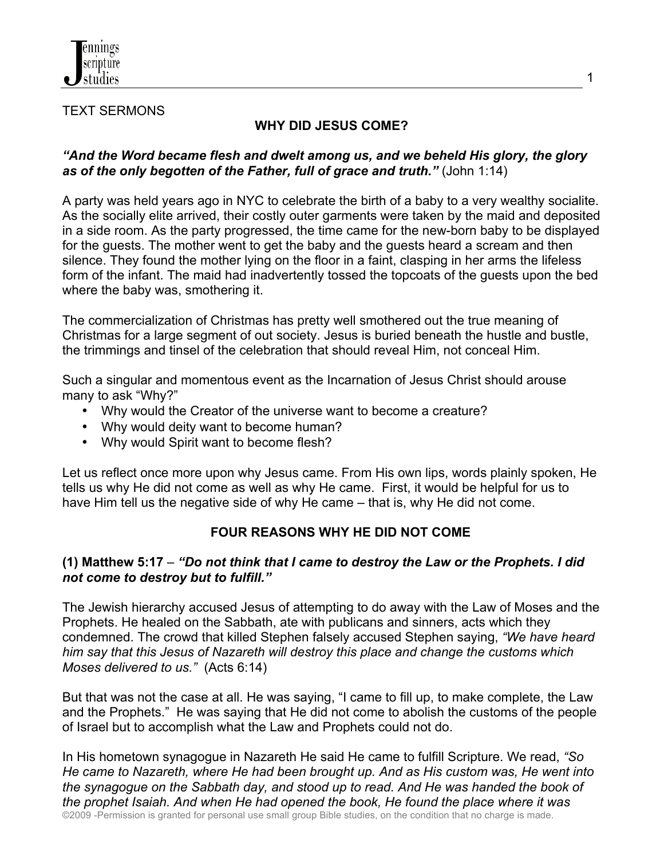

#### TEXT SERMONS

## **WHY DID JESUS COME?**

### *"And the Word became flesh and dwelt among us, and we beheld His glory, the glory as of the only begotten of the Father, full of grace and truth."* (John 1:14)

A party was held years ago in NYC to celebrate the birth of a baby to a very wealthy socialite. As the socially elite arrived, their costly outer garments were taken by the maid and deposited in a side room. As the party progressed, the time came for the new-born baby to be displayed for the guests. The mother went to get the baby and the guests heard a scream and then silence. They found the mother lying on the floor in a faint, clasping in her arms the lifeless form of the infant. The maid had inadvertently tossed the topcoats of the guests upon the bed where the baby was, smothering it.

The commercialization of Christmas has pretty well smothered out the true meaning of Christmas for a large segment of out society. Jesus is buried beneath the hustle and bustle, the trimmings and tinsel of the celebration that should reveal Him, not conceal Him.

Such a singular and momentous event as the Incarnation of Jesus Christ should arouse many to ask "Why?"

- Why would the Creator of the universe want to become a creature?
- Why would deity want to become human?
- Why would Spirit want to become flesh?

Let us reflect once more upon why Jesus came. From His own lips, words plainly spoken, He tells us why He did not come as well as why He came. First, it would be helpful for us to have Him tell us the negative side of why He came – that is, why He did not come.

## **FOUR REASONS WHY HE DID NOT COME**

#### **(1) Matthew 5:17** – *"Do not think that I came to destroy the Law or the Prophets. I did not come to destroy but to fulfill."*

The Jewish hierarchy accused Jesus of attempting to do away with the Law of Moses and the Prophets. He healed on the Sabbath, ate with publicans and sinners, acts which they condemned. The crowd that killed Stephen falsely accused Stephen saying, *"We have heard him say that this Jesus of Nazareth will destroy this place and change the customs which Moses delivered to us."* (Acts 6:14)

But that was not the case at all. He was saying, "I came to fill up, to make complete, the Law and the Prophets." He was saying that He did not come to abolish the customs of the people of Israel but to accomplish what the Law and Prophets could not do.

©2009 -Permission is granted for personal use small group Bible studies, on the condition that no charge is made. In His hometown synagogue in Nazareth He said He came to fulfill Scripture. We read, *"So He came to Nazareth, where He had been brought up. And as His custom was, He went into the synagogue on the Sabbath day, and stood up to read. And He was handed the book of the prophet Isaiah. And when He had opened the book, He found the place where it was* 

1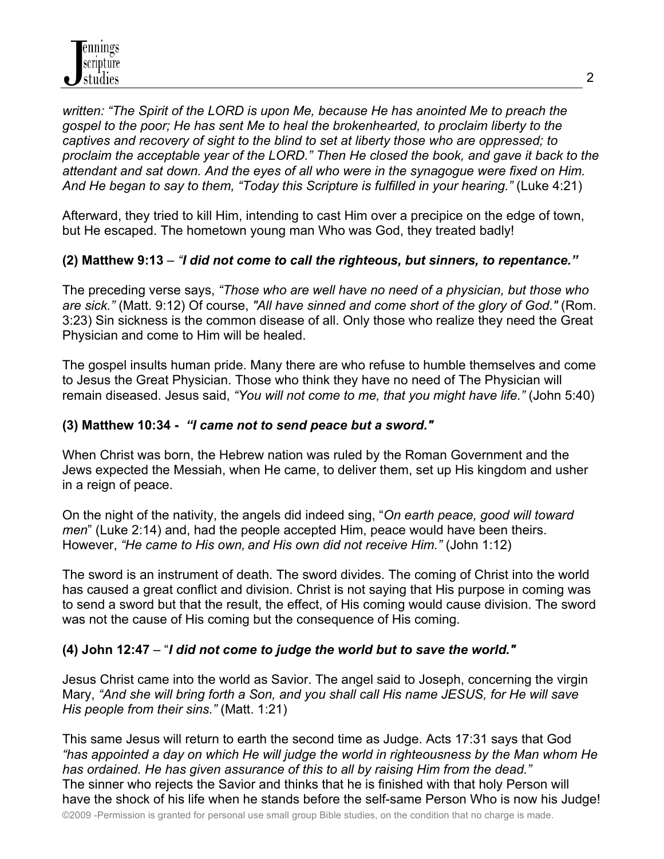*written: "The Spirit of the LORD is upon Me, because He has anointed Me to preach the gospel to the poor; He has sent Me to heal the brokenhearted, to proclaim liberty to the captives and recovery of sight to the blind to set at liberty those who are oppressed; to proclaim the acceptable year of the LORD." Then He closed the book, and gave it back to the attendant and sat down. And the eyes of all who were in the synagogue were fixed on Him. And He began to say to them, "Today this Scripture is fulfilled in your hearing."* (Luke 4:21)

Afterward, they tried to kill Him, intending to cast Him over a precipice on the edge of town, but He escaped. The hometown young man Who was God, they treated badly!

## **(2) Matthew 9:13** – *"I did not come to call the righteous, but sinners, to repentance."*

The preceding verse says, *"Those who are well have no need of a physician, but those who are sick."* (Matt. 9:12) Of course, *"All have sinned and come short of the glory of God."* (Rom. 3:23) Sin sickness is the common disease of all. Only those who realize they need the Great Physician and come to Him will be healed.

The gospel insults human pride. Many there are who refuse to humble themselves and come to Jesus the Great Physician. Those who think they have no need of The Physician will remain diseased. Jesus said, *"You will not come to me, that you might have life."* (John 5:40)

## **(3) Matthew 10:34 -** *"I came not to send peace but a sword."*

When Christ was born, the Hebrew nation was ruled by the Roman Government and the Jews expected the Messiah, when He came, to deliver them, set up His kingdom and usher in a reign of peace.

On the night of the nativity, the angels did indeed sing, "*On earth peace, good will toward men*" (Luke 2:14) and, had the people accepted Him, peace would have been theirs. However, *"He came to His own, and His own did not receive Him."* (John 1:12)

The sword is an instrument of death. The sword divides. The coming of Christ into the world has caused a great conflict and division. Christ is not saying that His purpose in coming was to send a sword but that the result, the effect, of His coming would cause division. The sword was not the cause of His coming but the consequence of His coming.

# **(4) John 12:47** – "*I did not come to judge the world but to save the world."*

Jesus Christ came into the world as Savior. The angel said to Joseph, concerning the virgin Mary, *"And she will bring forth a Son, and you shall call His name JESUS, for He will save His people from their sins."* (Matt. 1:21)

This same Jesus will return to earth the second time as Judge. Acts 17:31 says that God *"has appointed a day on which He will judge the world in righteousness by the Man whom He has ordained. He has given assurance of this to all by raising Him from the dead."* The sinner who rejects the Savior and thinks that he is finished with that holy Person will have the shock of his life when he stands before the self-same Person Who is now his Judge!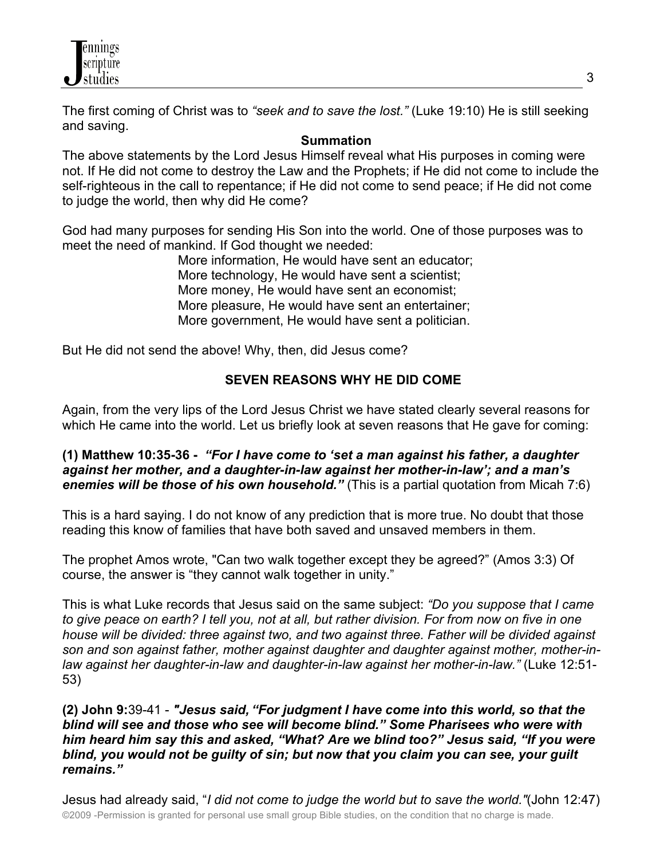

The first coming of Christ was to *"seek and to save the lost."* (Luke 19:10) He is still seeking and saving.

#### **Summation**

The above statements by the Lord Jesus Himself reveal what His purposes in coming were not. If He did not come to destroy the Law and the Prophets; if He did not come to include the self-righteous in the call to repentance; if He did not come to send peace; if He did not come to judge the world, then why did He come?

God had many purposes for sending His Son into the world. One of those purposes was to meet the need of mankind. If God thought we needed:

> More information, He would have sent an educator; More technology, He would have sent a scientist; More money, He would have sent an economist; More pleasure, He would have sent an entertainer; More government, He would have sent a politician.

But He did not send the above! Why, then, did Jesus come?

## **SEVEN REASONS WHY HE DID COME**

Again, from the very lips of the Lord Jesus Christ we have stated clearly several reasons for which He came into the world. Let us briefly look at seven reasons that He gave for coming:

### **(1) Matthew 10:35-36 -** *"For I have come to 'set a man against his father, a daughter against her mother, and a daughter-in-law against her mother-in-law'; and a man's enemies will be those of his own household."* (This is a partial quotation from Micah 7:6)

This is a hard saying. I do not know of any prediction that is more true. No doubt that those reading this know of families that have both saved and unsaved members in them.

The prophet Amos wrote, "Can two walk together except they be agreed?" (Amos 3:3) Of course, the answer is "they cannot walk together in unity."

This is what Luke records that Jesus said on the same subject: *"Do you suppose that I came to give peace on earth? I tell you, not at all, but rather division. For from now on five in one house will be divided: three against two, and two against three. Father will be divided against son and son against father, mother against daughter and daughter against mother, mother-inlaw against her daughter-in-law and daughter-in-law against her mother-in-law."* (Luke 12:51- 53)

### **(2) John 9:**39-41 - *"Jesus said, "For judgment I have come into this world, so that the blind will see and those who see will become blind." Some Pharisees who were with him heard him say this and asked, "What? Are we blind too?" Jesus said, "If you were blind, you would not be guilty of sin; but now that you claim you can see, your guilt remains."*

©2009 -Permission is granted for personal use small group Bible studies, on the condition that no charge is made. Jesus had already said, "*I did not come to judge the world but to save the world."*(John 12:47)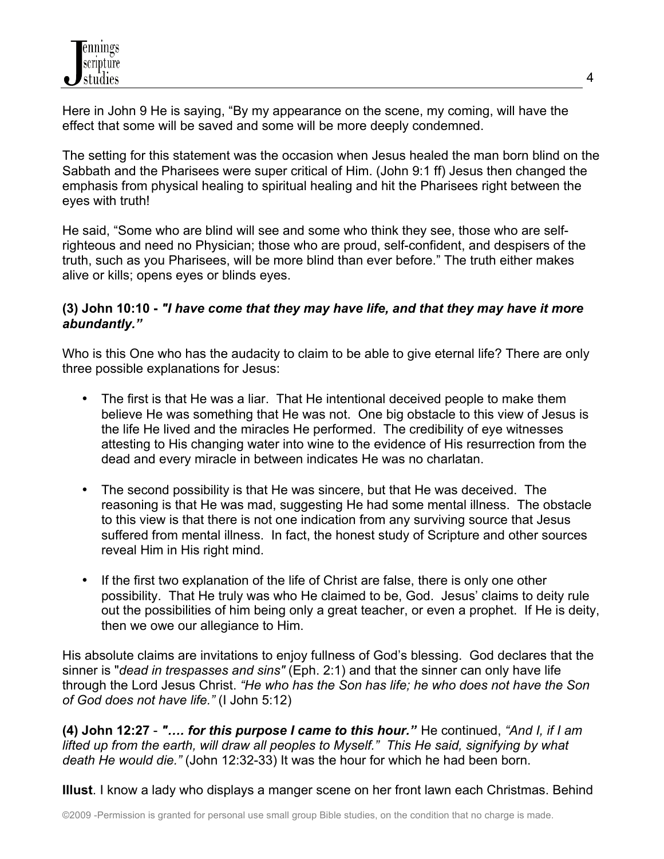

Here in John 9 He is saying, "By my appearance on the scene, my coming, will have the effect that some will be saved and some will be more deeply condemned.

The setting for this statement was the occasion when Jesus healed the man born blind on the Sabbath and the Pharisees were super critical of Him. (John 9:1 ff) Jesus then changed the emphasis from physical healing to spiritual healing and hit the Pharisees right between the eyes with truth!

He said, "Some who are blind will see and some who think they see, those who are selfrighteous and need no Physician; those who are proud, self-confident, and despisers of the truth, such as you Pharisees, will be more blind than ever before." The truth either makes alive or kills; opens eyes or blinds eyes.

### **(3) John 10:10 -** *"I have come that they may have life, and that they may have it more abundantly."*

Who is this One who has the audacity to claim to be able to give eternal life? There are only three possible explanations for Jesus:

- The first is that He was a liar. That He intentional deceived people to make them believe He was something that He was not. One big obstacle to this view of Jesus is the life He lived and the miracles He performed. The credibility of eye witnesses attesting to His changing water into wine to the evidence of His resurrection from the dead and every miracle in between indicates He was no charlatan.
- The second possibility is that He was sincere, but that He was deceived. The reasoning is that He was mad, suggesting He had some mental illness. The obstacle to this view is that there is not one indication from any surviving source that Jesus suffered from mental illness. In fact, the honest study of Scripture and other sources reveal Him in His right mind.
- If the first two explanation of the life of Christ are false, there is only one other possibility. That He truly was who He claimed to be, God. Jesus' claims to deity rule out the possibilities of him being only a great teacher, or even a prophet. If He is deity, then we owe our allegiance to Him.

His absolute claims are invitations to enjoy fullness of God's blessing. God declares that the sinner is "*dead in trespasses and sins"* (Eph. 2:1) and that the sinner can only have life through the Lord Jesus Christ. *"He who has the Son has life; he who does not have the Son of God does not have life."* (I John 5:12)

**(4) John 12:27** - *"…. for this purpose I came to this hour."* He continued, *"And I, if I am lifted up from the earth, will draw all peoples to Myself." This He said, signifying by what death He would die."* (John 12:32-33) It was the hour for which he had been born.

**Illust**. I know a lady who displays a manger scene on her front lawn each Christmas. Behind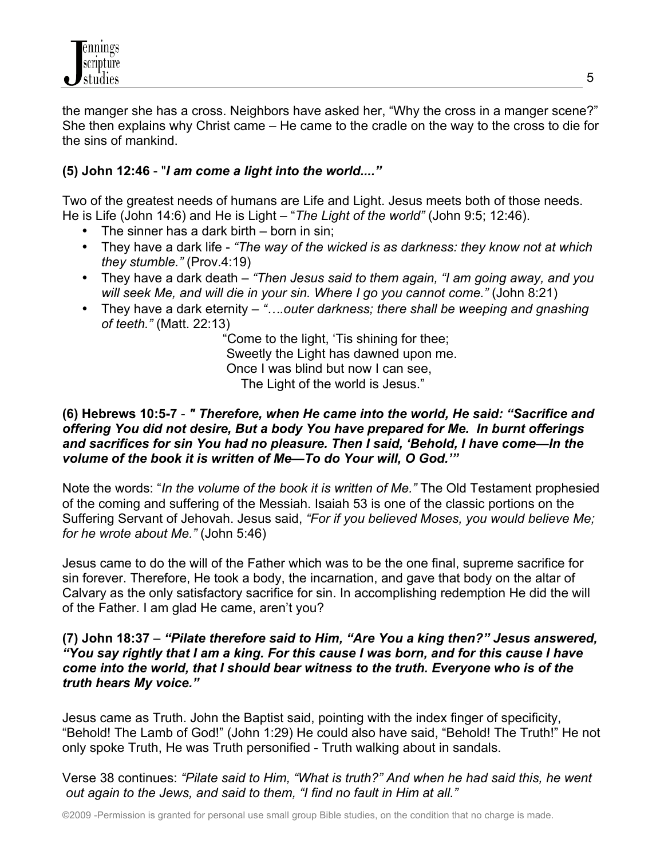

the manger she has a cross. Neighbors have asked her, "Why the cross in a manger scene?" She then explains why Christ came – He came to the cradle on the way to the cross to die for the sins of mankind.

### **(5) John 12:46** - "*I am come a light into the world...."*

Two of the greatest needs of humans are Life and Light. Jesus meets both of those needs. He is Life (John 14:6) and He is Light – "*The Light of the world"* (John 9:5; 12:46).

- The sinner has a dark birth born in sin;
- They have a dark life *"The way of the wicked is as darkness: they know not at which they stumble."* (Prov.4:19)
- They have a dark death *"Then Jesus said to them again, "I am going away, and you will seek Me, and will die in your sin. Where I go you cannot come."* (John 8:21)
- They have a dark eternity *"….outer darkness; there shall be weeping and gnashing of teeth."* (Matt. 22:13)

 "Come to the light, 'Tis shining for thee; Sweetly the Light has dawned upon me. Once I was blind but now I can see, The Light of the world is Jesus."

#### **(6) Hebrews 10:5-7** - *" Therefore, when He came into the world, He said: "Sacrifice and offering You did not desire, But a body You have prepared for Me. In burnt offerings and sacrifices for sin You had no pleasure. Then I said, 'Behold, I have come—In the volume of the book it is written of Me—To do Your will, O God.'"*

Note the words: "*In the volume of the book it is written of Me."* The Old Testament prophesied of the coming and suffering of the Messiah. Isaiah 53 is one of the classic portions on the Suffering Servant of Jehovah. Jesus said, *"For if you believed Moses, you would believe Me; for he wrote about Me."* (John 5:46)

Jesus came to do the will of the Father which was to be the one final, supreme sacrifice for sin forever. Therefore, He took a body, the incarnation, and gave that body on the altar of Calvary as the only satisfactory sacrifice for sin. In accomplishing redemption He did the will of the Father. I am glad He came, aren't you?

#### **(7) John 18:37** – *"Pilate therefore said to Him, "Are You a king then?" Jesus answered, "You say rightly that I am a king. For this cause I was born, and for this cause I have come into the world, that I should bear witness to the truth. Everyone who is of the truth hears My voice."*

Jesus came as Truth. John the Baptist said, pointing with the index finger of specificity, "Behold! The Lamb of God!" (John 1:29) He could also have said, "Behold! The Truth!" He not only spoke Truth, He was Truth personified - Truth walking about in sandals.

Verse 38 continues: *"Pilate said to Him, "What is truth?" And when he had said this, he went out again to the Jews, and said to them, "I find no fault in Him at all."*